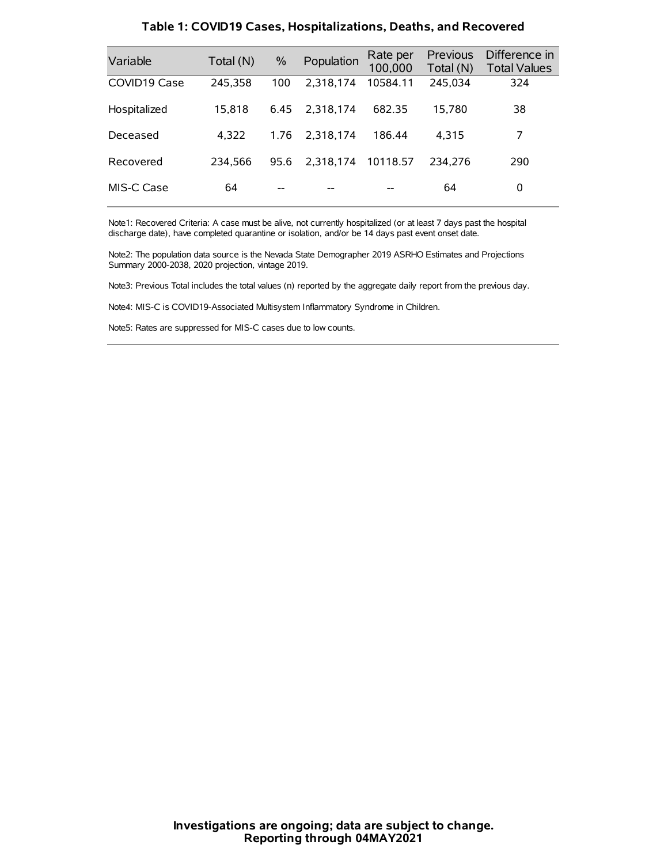| Variable     | Total (N) | $\frac{0}{0}$ | Population | Rate per<br>100,000 | Previous<br>Total (N) | Difference in<br><b>Total Values</b> |
|--------------|-----------|---------------|------------|---------------------|-----------------------|--------------------------------------|
| COVID19 Case | 245,358   | 100           | 2.318.174  | 10584.11            | 245,034               | 324                                  |
| Hospitalized | 15,818    | 6.45          | 2.318.174  | 682.35              | 15.780                | 38                                   |
| Deceased     | 4.322     | 1.76          | 2.318.174  | 186.44              | 4,315                 | 7                                    |
| Recovered    | 234.566   | 95.6          | 2,318,174  | 10118.57            | 234.276               | 290                                  |
| MIS-C Case   | 64        | --            |            |                     | 64                    | 0                                    |

#### **Table 1: COVID19 Cases, Hospitalizations, Deaths, and Recovered**

Note1: Recovered Criteria: A case must be alive, not currently hospitalized (or at least 7 days past the hospital discharge date), have completed quarantine or isolation, and/or be 14 days past event onset date.

Note2: The population data source is the Nevada State Demographer 2019 ASRHO Estimates and Projections Summary 2000-2038, 2020 projection, vintage 2019.

Note3: Previous Total includes the total values (n) reported by the aggregate daily report from the previous day.

Note4: MIS-C is COVID19-Associated Multisystem Inflammatory Syndrome in Children.

Note5: Rates are suppressed for MIS-C cases due to low counts.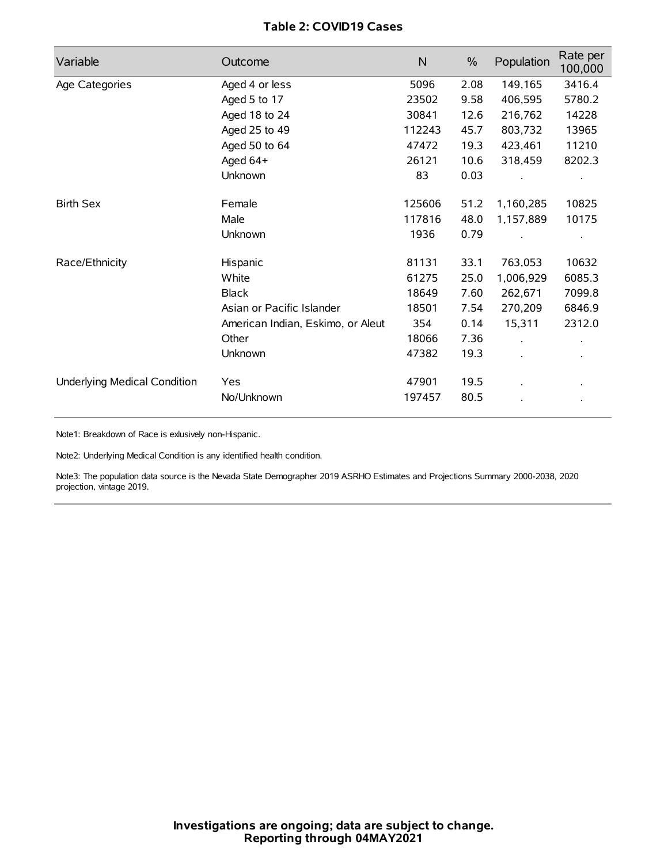## **Table 2: COVID19 Cases**

| Variable                     | Outcome                           | $\mathsf{N}$ | $\%$ | Population | Rate per<br>100,000 |
|------------------------------|-----------------------------------|--------------|------|------------|---------------------|
| Age Categories               | Aged 4 or less                    | 5096         | 2.08 | 149,165    | 3416.4              |
|                              | Aged 5 to 17                      | 23502        | 9.58 | 406,595    | 5780.2              |
|                              | Aged 18 to 24                     | 30841        | 12.6 | 216,762    | 14228               |
|                              | Aged 25 to 49                     | 112243       | 45.7 | 803,732    | 13965               |
|                              | Aged 50 to 64                     | 47472        | 19.3 | 423,461    | 11210               |
|                              | Aged 64+                          | 26121        | 10.6 | 318,459    | 8202.3              |
|                              | Unknown                           | 83           | 0.03 |            |                     |
| <b>Birth Sex</b>             | Female                            | 125606       | 51.2 | 1,160,285  | 10825               |
|                              | Male                              | 117816       | 48.0 | 1,157,889  | 10175               |
|                              | Unknown                           | 1936         | 0.79 |            |                     |
| Race/Ethnicity               | Hispanic                          | 81131        | 33.1 | 763,053    | 10632               |
|                              | White                             | 61275        | 25.0 | 1,006,929  | 6085.3              |
|                              | <b>Black</b>                      | 18649        | 7.60 | 262,671    | 7099.8              |
|                              | Asian or Pacific Islander         | 18501        | 7.54 | 270,209    | 6846.9              |
|                              | American Indian, Eskimo, or Aleut | 354          | 0.14 | 15,311     | 2312.0              |
|                              | Other                             | 18066        | 7.36 |            |                     |
|                              | Unknown                           | 47382        | 19.3 |            |                     |
| Underlying Medical Condition | <b>Yes</b>                        | 47901        | 19.5 |            |                     |
|                              | No/Unknown                        | 197457       | 80.5 |            |                     |

Note1: Breakdown of Race is exlusively non-Hispanic.

Note2: Underlying Medical Condition is any identified health condition.

Note3: The population data source is the Nevada State Demographer 2019 ASRHO Estimates and Projections Summary 2000-2038, 2020 projection, vintage 2019.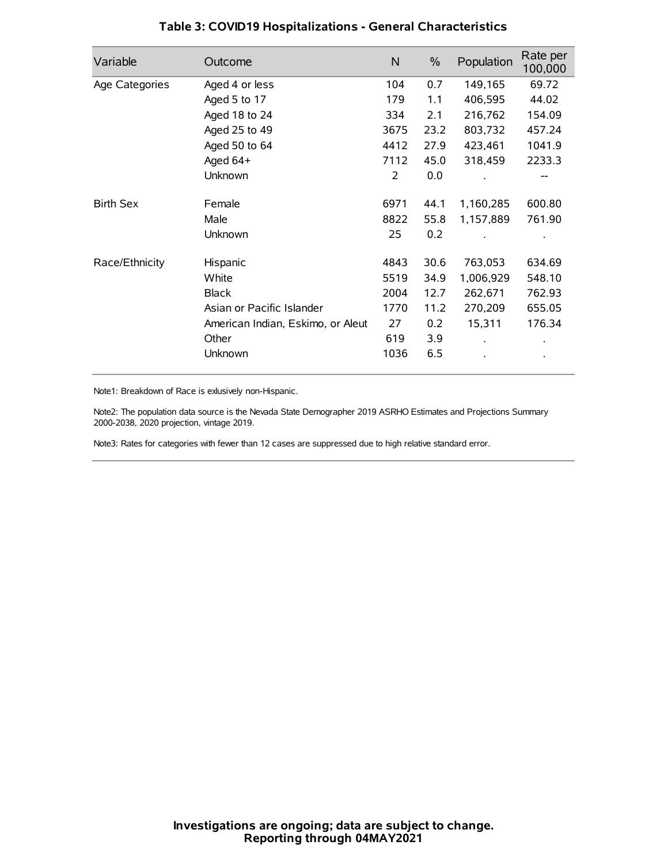| Variable         | Outcome                           | N    | $\%$ | Population | Rate per<br>100,000 |
|------------------|-----------------------------------|------|------|------------|---------------------|
| Age Categories   | Aged 4 or less                    | 104  | 0.7  | 149,165    | 69.72               |
|                  | Aged 5 to 17                      | 179  | 1.1  | 406,595    | 44.02               |
|                  | Aged 18 to 24                     | 334  | 2.1  | 216,762    | 154.09              |
|                  | Aged 25 to 49                     | 3675 | 23.2 | 803,732    | 457.24              |
|                  | Aged 50 to 64                     | 4412 | 27.9 | 423,461    | 1041.9              |
|                  | Aged 64+                          | 7112 | 45.0 | 318,459    | 2233.3              |
|                  | Unknown                           | 2    | 0.0  |            |                     |
| <b>Birth Sex</b> | Female                            | 6971 | 44.1 | 1,160,285  | 600.80              |
|                  | Male                              | 8822 | 55.8 | 1,157,889  | 761.90              |
|                  | Unknown                           | 25   | 0.2  |            |                     |
| Race/Ethnicity   | Hispanic                          | 4843 | 30.6 | 763,053    | 634.69              |
|                  | White                             | 5519 | 34.9 | 1,006,929  | 548.10              |
|                  | <b>Black</b>                      | 2004 | 12.7 | 262,671    | 762.93              |
|                  | Asian or Pacific Islander         | 1770 | 11.2 | 270,209    | 655.05              |
|                  | American Indian, Eskimo, or Aleut | 27   | 0.2  | 15,311     | 176.34              |
|                  | Other                             | 619  | 3.9  |            |                     |
|                  | Unknown                           | 1036 | 6.5  |            |                     |

## **Table 3: COVID19 Hospitalizations - General Characteristics**

Note1: Breakdown of Race is exlusively non-Hispanic.

Note2: The population data source is the Nevada State Demographer 2019 ASRHO Estimates and Projections Summary 2000-2038, 2020 projection, vintage 2019.

Note3: Rates for categories with fewer than 12 cases are suppressed due to high relative standard error.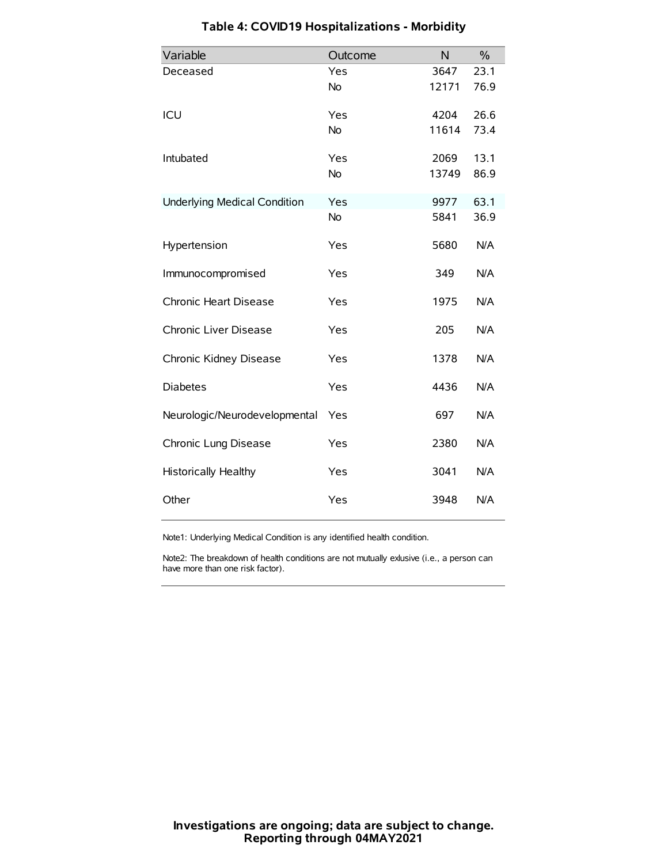| Variable                            | Outcome   | N     | $\frac{0}{0}$ |
|-------------------------------------|-----------|-------|---------------|
| Deceased                            | Yes       | 3647  | 23.1          |
|                                     | No        | 12171 | 76.9          |
| ICU                                 | Yes       | 4204  | 26.6          |
|                                     | <b>No</b> | 11614 | 73.4          |
| Intubated                           | Yes       | 2069  | 13.1          |
|                                     | No        | 13749 | 86.9          |
| <b>Underlying Medical Condition</b> | Yes       | 9977  | 63.1          |
|                                     | No        | 5841  | 36.9          |
| Hypertension                        | Yes       | 5680  | N/A           |
| Immunocompromised                   | Yes       | 349   | N/A           |
| Chronic Heart Disease               | Yes       | 1975  | N/A           |
| Chronic Liver Disease               | Yes       | 205   | N/A           |
| Chronic Kidney Disease              | Yes       | 1378  | N/A           |
| <b>Diabetes</b>                     | Yes       | 4436  | N/A           |
| Neurologic/Neurodevelopmental       | Yes       | 697   | N/A           |
| Chronic Lung Disease                | Yes       | 2380  | N/A           |
| <b>Historically Healthy</b>         | Yes       | 3041  | N/A           |
| Other                               | Yes       | 3948  | N/A           |

# **Table 4: COVID19 Hospitalizations - Morbidity**

Note1: Underlying Medical Condition is any identified health condition.

Note2: The breakdown of health conditions are not mutually exlusive (i.e., a person can have more than one risk factor).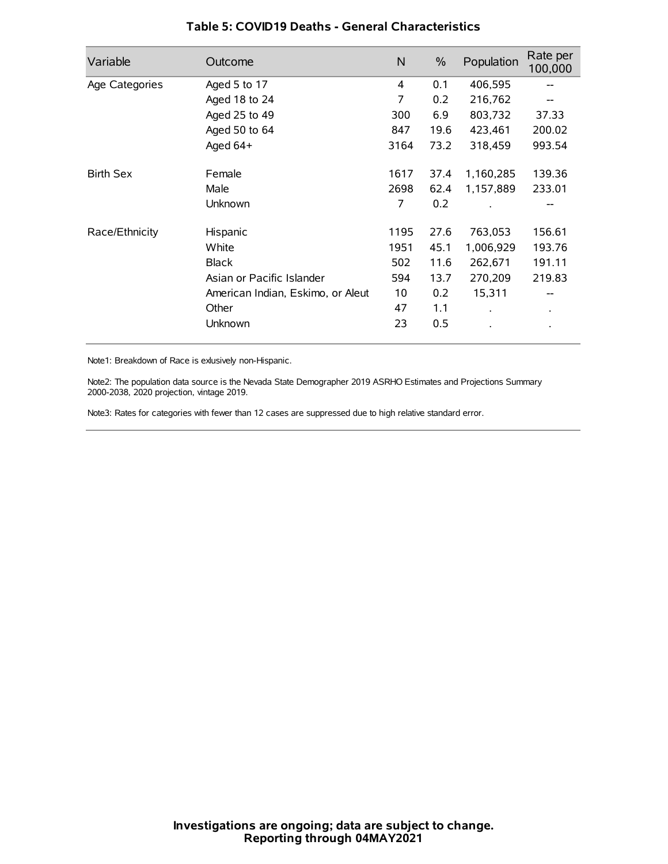| Variable         | Outcome                           | N    | $\%$ | Population           | Rate per<br>100,000 |
|------------------|-----------------------------------|------|------|----------------------|---------------------|
| Age Categories   | Aged 5 to 17                      | 4    | 0.1  | 406,595              |                     |
|                  | Aged 18 to 24                     | 7    | 0.2  | 216,762              | --                  |
|                  | Aged 25 to 49                     | 300  | 6.9  | 803,732              | 37.33               |
|                  | Aged 50 to 64                     | 847  | 19.6 | 423,461              | 200.02              |
|                  | Aged 64+                          | 3164 | 73.2 | 318,459              | 993.54              |
| <b>Birth Sex</b> | Female                            | 1617 | 37.4 | 1,160,285            | 139.36              |
|                  | Male                              | 2698 | 62.4 | 1,157,889            | 233.01              |
|                  | Unknown                           | 7    | 0.2  |                      |                     |
| Race/Ethnicity   | Hispanic                          | 1195 | 27.6 | 763,053              | 156.61              |
|                  | White                             | 1951 | 45.1 | 1,006,929            | 193.76              |
|                  | <b>Black</b>                      | 502  | 11.6 | 262,671              | 191.11              |
|                  | Asian or Pacific Islander         | 594  | 13.7 | 270,209              | 219.83              |
|                  | American Indian, Eskimo, or Aleut | 10   | 0.2  | 15,311               |                     |
|                  | Other                             | 47   | 1.1  | $\ddot{\phantom{0}}$ | $\bullet$           |
|                  | Unknown                           | 23   | 0.5  |                      |                     |

## **Table 5: COVID19 Deaths - General Characteristics**

Note1: Breakdown of Race is exlusively non-Hispanic.

Note2: The population data source is the Nevada State Demographer 2019 ASRHO Estimates and Projections Summary 2000-2038, 2020 projection, vintage 2019.

Note3: Rates for categories with fewer than 12 cases are suppressed due to high relative standard error.